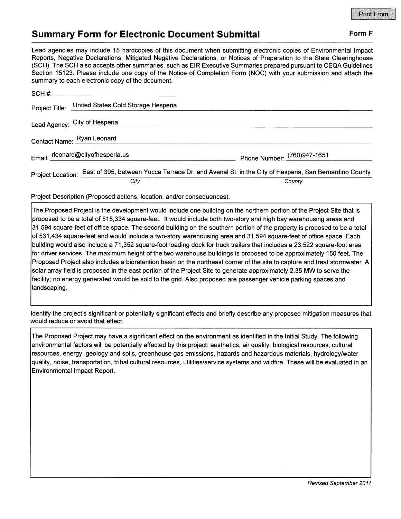## **Summary Form for Electronic Document Submittal Form F Form F**

Lead agencies may include 15 hardcopies of this document when submitting electronic copies of Environmental Impact Reports, Negative Declarations, Mitigated Negative Declarations, or Notices of Preparation to the State Clearinghouse (SCH). The SCH also accepts other summaries, such as EIR Executive Summaries prepared pursuant to CEQA Guidelines Section 15123. Please include one copy of the Notice of Completion Form (NOC) with your submission and attach the summary to each electronic copy of the document.

|                   | <b>barration</b> , to babili bibotronilo bopy of the abouthom. |                                                                                                      |
|-------------------|----------------------------------------------------------------|------------------------------------------------------------------------------------------------------|
|                   |                                                                |                                                                                                      |
|                   | Project Title: United States Cold Storage Hesperia             |                                                                                                      |
|                   | Lead Agency: City of Hesperia                                  |                                                                                                      |
|                   | Contact Name: Ryan Leonard                                     |                                                                                                      |
|                   | Email: rleonard@cityofhesperia.us                              | Phone Number: (760)947-1651                                                                          |
| Project Location: |                                                                | East of 395, between Yucca Terrace Dr. and Avenal St. in the City of Hesperia, San Bernardino County |
|                   | City                                                           | County                                                                                               |

Project Description (Proposed actions, location, and/or consequences).

The Proposed Project is the development would include one building on the northern portion of the Project Site that is proposed to be a total of 515,334 square-feet. It would include both two-story and high bay warehousing areas and 31,594 square-feet of office space. The second building on the southern portion of the property is proposed to be a total of 531,434 square-feet and would include a two-story warehousing area and 31,594 square-feet of office space. Each building would also include a 71,352 square-foot loading dock for truck trailers that includes a 23,522 square-foot area for driver services. The maximum height of the two warehouse buildings is proposed to be approximately 150 feet. The Proposed Project also includes a bioretention basin on the northeast corner of the site to capture and treat stormwater. A solar array field is proposed in the east portion of the Project Site to generate approximately 2.35 MW to serve the facility; no energy generated would be sold to the grid. Also proposed are passenger vehicle parking spaces and landscaping.

Identify the project's significant or potentially significant effects and briefly describe any proposed mitigation measures that would reduce or avoid that effect.

The Proposed Project may have a significant effect on the environment as identified in the Initial Study. The following environmental factors will be potentially affected by this project: aesthetics, air quality, biological resources, cultural resources, energy, geology and soils, greenhouse gas emissions, hazards and hazardous materials, hydrology/water quality, noise, transportation, tribal cultural resources, utilities/service systems and wildfire. These will be evaluated in an Environmental Impact Report.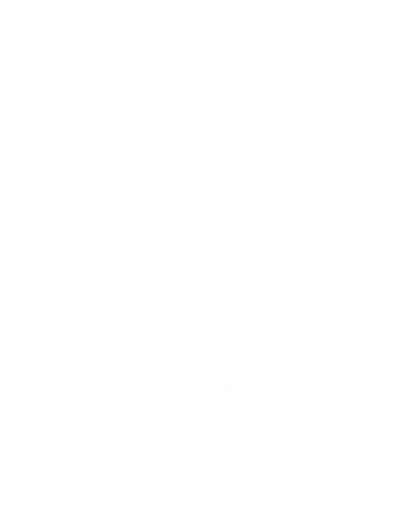$\label{eq:2.1} \frac{1}{2} \sum_{i=1}^n \frac{1}{2} \sum_{j=1}^n \frac{1}{2} \sum_{j=1}^n \frac{1}{2} \sum_{j=1}^n \frac{1}{2} \sum_{j=1}^n \frac{1}{2} \sum_{j=1}^n \frac{1}{2} \sum_{j=1}^n \frac{1}{2} \sum_{j=1}^n \frac{1}{2} \sum_{j=1}^n \frac{1}{2} \sum_{j=1}^n \frac{1}{2} \sum_{j=1}^n \frac{1}{2} \sum_{j=1}^n \frac{1}{2} \sum_{j=1}^n \frac{$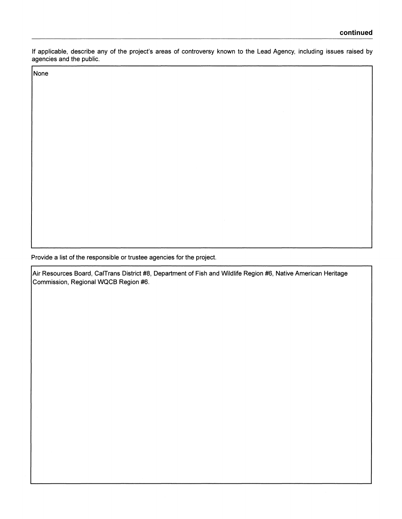If applicable, describe any of the project's areas of controversy known to the Lead Agency, including issues raised by agencies and the public.

None

Provide a list of the responsible or trustee agencies for the project.

Air Resources Board, CalTrans District #8, Department of Fish and Wildlife Region #6, Native American Heritage Commission, Regional WQCB Region #6.